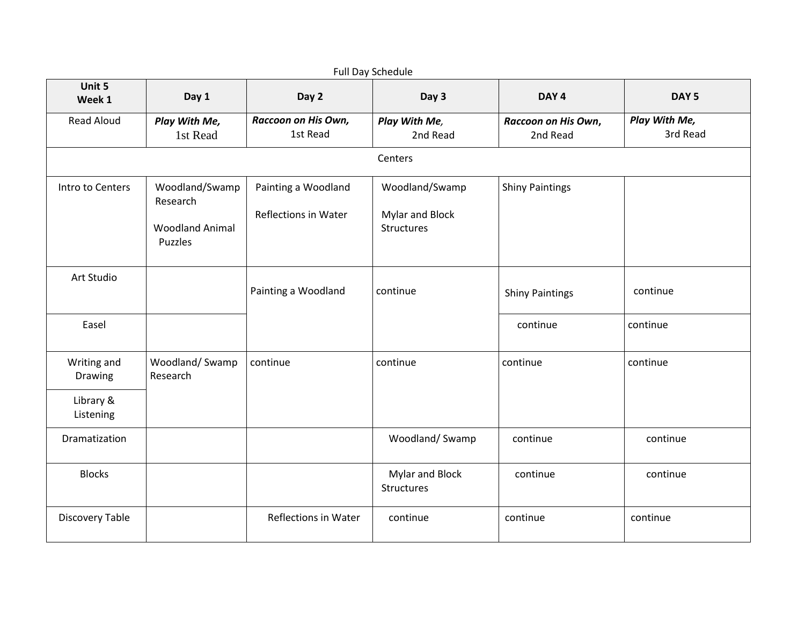| Full Day Schedule      |                                                                 |                                             |                                                 |                                 |                           |
|------------------------|-----------------------------------------------------------------|---------------------------------------------|-------------------------------------------------|---------------------------------|---------------------------|
| Unit 5<br>Week 1       | Day 1                                                           | Day 2                                       | Day 3                                           | DAY <sub>4</sub>                | DAY <sub>5</sub>          |
| <b>Read Aloud</b>      | Play With Me,<br>1st Read                                       | Raccoon on His Own,<br>1st Read             | Play With Me,<br>2nd Read                       | Raccoon on His Own,<br>2nd Read | Play With Me,<br>3rd Read |
|                        |                                                                 |                                             | Centers                                         |                                 |                           |
| Intro to Centers       | Woodland/Swamp<br>Research<br><b>Woodland Animal</b><br>Puzzles | Painting a Woodland<br>Reflections in Water | Woodland/Swamp<br>Mylar and Block<br>Structures | <b>Shiny Paintings</b>          |                           |
| Art Studio             |                                                                 | Painting a Woodland                         | continue                                        | <b>Shiny Paintings</b>          | continue                  |
| Easel                  |                                                                 |                                             |                                                 | continue                        | continue                  |
| Writing and<br>Drawing | Woodland/Swamp<br>Research                                      | continue                                    | continue                                        | continue                        | continue                  |
| Library &<br>Listening |                                                                 |                                             |                                                 |                                 |                           |
| Dramatization          |                                                                 |                                             | Woodland/Swamp                                  | continue                        | continue                  |
| <b>Blocks</b>          |                                                                 |                                             | Mylar and Block<br><b>Structures</b>            | continue                        | continue                  |
| Discovery Table        |                                                                 | <b>Reflections in Water</b>                 | continue                                        | continue                        | continue                  |